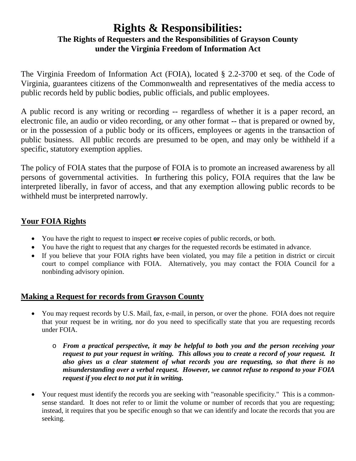# **Rights & Responsibilities: The Rights of Requesters and the Responsibilities of Grayson County under the Virginia Freedom of Information Act**

The Virginia Freedom of Information Act (FOIA), located § 2.2-3700 et seq. of the Code of Virginia, guarantees citizens of the Commonwealth and representatives of the media access to public records held by public bodies, public officials, and public employees.

A public record is any writing or recording -- regardless of whether it is a paper record, an electronic file, an audio or video recording, or any other format -- that is prepared or owned by, or in the possession of a public body or its officers, employees or agents in the transaction of public business. All public records are presumed to be open, and may only be withheld if a specific, statutory exemption applies.

The policy of FOIA states that the purpose of FOIA is to promote an increased awareness by all persons of governmental activities. In furthering this policy, FOIA requires that the law be interpreted liberally, in favor of access, and that any exemption allowing public records to be withheld must be interpreted narrowly.

# **Your FOIA Rights**

- You have the right to request to inspect **or** receive copies of public records, or both.
- You have the right to request that any charges for the requested records be estimated in advance.
- If you believe that your FOIA rights have been violated, you may file a petition in district or circuit court to compel compliance with FOIA. Alternatively, you may contact the FOIA Council for a nonbinding advisory opinion.

# **Making a Request for records from Grayson County**

- You may request records by U.S. Mail, fax, e-mail, in person, or over the phone. FOIA does not require that your request be in writing, nor do you need to specifically state that you are requesting records under FOIA.
	- o *From a practical perspective, it may be helpful to both you and the person receiving your request to put your request in writing. This allows you to create a record of your request. It also gives us a clear statement of what records you are requesting, so that there is no misunderstanding over a verbal request. However, we cannot refuse to respond to your FOIA request if you elect to not put it in writing.*
- Your request must identify the records you are seeking with "reasonable specificity." This is a commonsense standard. It does not refer to or limit the volume or number of records that you are requesting; instead, it requires that you be specific enough so that we can identify and locate the records that you are seeking.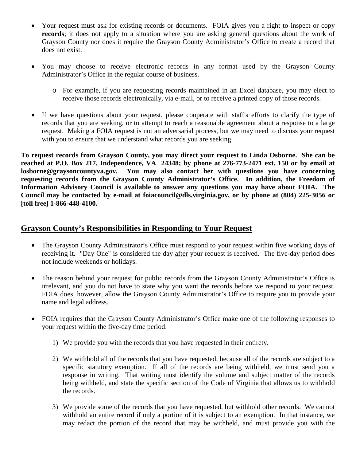- Your request must ask for existing records or documents. FOIA gives you a right to inspect or copy **records**; it does not apply to a situation where you are asking general questions about the work of Grayson County nor does it require the Grayson County Administrator's Office to create a record that does not exist.
- You may choose to receive electronic records in any format used by the Grayson County Administrator's Office in the regular course of business.
	- o For example, if you are requesting records maintained in an Excel database, you may elect to receive those records electronically, via e-mail, or to receive a printed copy of those records.
- If we have questions about your request, please cooperate with staff's efforts to clarify the type of records that you are seeking, or to attempt to reach a reasonable agreement about a response to a large request. Making a FOIA request is not an adversarial process, but we may need to discuss your request with you to ensure that we understand what records you are seeking.

**To request records from Grayson County, you may direct your request to Linda Osborne. She can be reached at P.O. Box 217, Independence, VA 24348; by phone at 276-773-2471 ext. 150 or by email at losborne@graysoncountyva.gov. You may also contact her with questions you have concerning requesting records from the Grayson County Administrator's Office. In addition, the Freedom of Information Advisory Council is available to answer any questions you may have about FOIA. The Council may be contacted by e-mail at foiacouncil@dls.virginia.gov, or by phone at (804) 225-3056 or [toll free] 1-866-448-4100.**

## **Grayson County's Responsibilities in Responding to Your Request**

- The Grayson County Administrator's Office must respond to your request within five working days of receiving it. "Day One" is considered the day after your request is received. The five-day period does not include weekends or holidays.
- The reason behind your request for public records from the Grayson County Administrator's Office is irrelevant, and you do not have to state why you want the records before we respond to your request. FOIA does, however, allow the Grayson County Administrator's Office to require you to provide your name and legal address.
- FOIA requires that the Grayson County Administrator's Office make one of the following responses to your request within the five-day time period:
	- 1) We provide you with the records that you have requested in their entirety.
	- 2) We withhold all of the records that you have requested, because all of the records are subject to a specific statutory exemption. If all of the records are being withheld, we must send you a response in writing. That writing must identify the volume and subject matter of the records being withheld, and state the specific section of the Code of Virginia that allows us to withhold the records.
	- 3) We provide some of the records that you have requested, but withhold other records. We cannot withhold an entire record if only a portion of it is subject to an exemption. In that instance, we may redact the portion of the record that may be withheld, and must provide you with the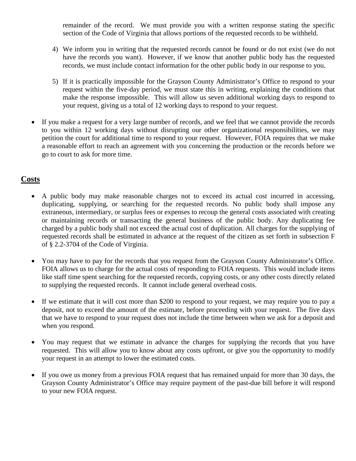remainder of the record. We must provide you with a written response stating the specific section of the Code of Virginia that allows portions of the requested records to be withheld.

- 4) We inform you in writing that the requested records cannot be found or do not exist (we do not have the records you want). However, if we know that another public body has the requested records, we must include contact information for the other public body in our response to you.
- 5) If it is practically impossible for the Grayson County Administrator's Office to respond to your request within the five-day period, we must state this in writing, explaining the conditions that make the response impossible. This will allow us seven additional working days to respond to your request, giving us a total of 12 working days to respond to your request.
- If you make a request for a very large number of records, and we feel that we cannot provide the records to you within 12 working days without disrupting our other organizational responsibilities, we may petition the court for additional time to respond to your request. However, FOIA requires that we make a reasonable effort to reach an agreement with you concerning the production or the records before we go to court to ask for more time.

### **Costs**

- A public body may make reasonable charges not to exceed its actual cost incurred in accessing, duplicating, supplying, or searching for the requested records. No public body shall impose any extraneous, intermediary, or surplus fees or expenses to recoup the general costs associated with creating or maintaining records or transacting the general business of the public body. Any duplicating fee charged by a public body shall not exceed the actual cost of duplication. All charges for the supplying of requested records shall be estimated in advance at the request of the citizen as set forth in subsection F of § 2.2-3704 of the Code of Virginia.
- You may have to pay for the records that you request from the Grayson County Administrator's Office. FOIA allows us to charge for the actual costs of responding to FOIA requests. This would include items like staff time spent searching for the requested records, copying costs, or any other costs directly related to supplying the requested records. It cannot include general overhead costs.
- If we estimate that it will cost more than \$200 to respond to your request, we may require you to pay a deposit, not to exceed the amount of the estimate, before proceeding with your request. The five days that we have to respond to your request does not include the time between when we ask for a deposit and when you respond.
- You may request that we estimate in advance the charges for supplying the records that you have requested. This will allow you to know about any costs upfront, or give you the opportunity to modify your request in an attempt to lower the estimated costs.
- If you owe us money from a previous FOIA request that has remained unpaid for more than 30 days, the Grayson County Administrator's Office may require payment of the past-due bill before it will respond to your new FOIA request.